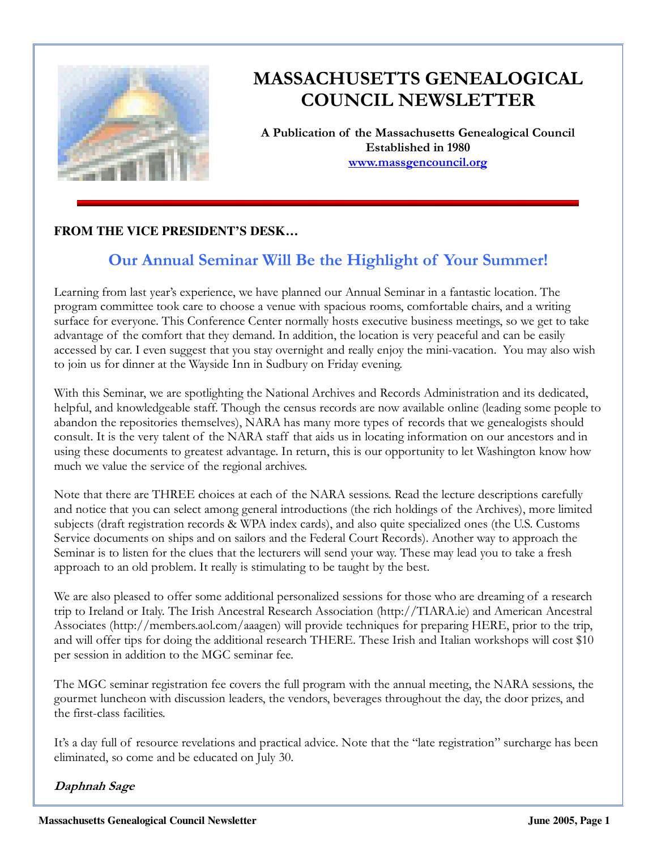

# MASSACHUSETTS GENEALOGICAL COUNCIL NEWSLETTER

A Publication of the Massachusetts Genealogical Council Established in 1980 www.massgencouncil.org

### **FROM THE VICE PRESIDENT'S DESK…**

# Our Annual Seminar Will Be the Highlight of Your Summer!

Learning from last year's experience, we have planned our Annual Seminar in a fantastic location. The program committee took care to choose a venue with spacious rooms, comfortable chairs, and a writing surface for everyone. This Conference Center normally hosts executive business meetings, so we get to take advantage of the comfort that they demand. In addition, the location is very peaceful and can be easily accessed by car. I even suggest that you stay overnight and really enjoy the mini-vacation. You may also wish to join us for dinner at the Wayside Inn in Sudbury on Friday evening.

With this Seminar, we are spotlighting the National Archives and Records Administration and its dedicated, helpful, and knowledgeable staff. Though the census records are now available online (leading some people to abandon the repositories themselves), NARA has many more types of records that we genealogists should consult. It is the very talent of the NARA staff that aids us in locating information on our ancestors and in using these documents to greatest advantage. In return, this is our opportunity to let Washington know how much we value the service of the regional archives.

Note that there are THREE choices at each of the NARA sessions. Read the lecture descriptions carefully and notice that you can select among general introductions (the rich holdings of the Archives), more limited subjects (draft registration records & WPA index cards), and also quite specialized ones (the U.S. Customs Service documents on ships and on sailors and the Federal Court Records). Another way to approach the Seminar is to listen for the clues that the lecturers will send your way. These may lead you to take a fresh approach to an old problem. It really is stimulating to be taught by the best.

We are also pleased to offer some additional personalized sessions for those who are dreaming of a research trip to Ireland or Italy. The Irish Ancestral Research Association (http://TIARA.ie) and American Ancestral Associates (http://members.aol.com/aaagen) will provide techniques for preparing HERE, prior to the trip, and will offer tips for doing the additional research THERE. These Irish and Italian workshops will cost \$10 per session in addition to the MGC seminar fee.

The MGC seminar registration fee covers the full program with the annual meeting, the NARA sessions, the gourmet luncheon with discussion leaders, the vendors, beverages throughout the day, the door prizes, and the first-class facilities.

It's a day full of resource revelations and practical advice. Note that the "late registration" surcharge has been eliminated, so come and be educated on July 30.

Daphnah Sage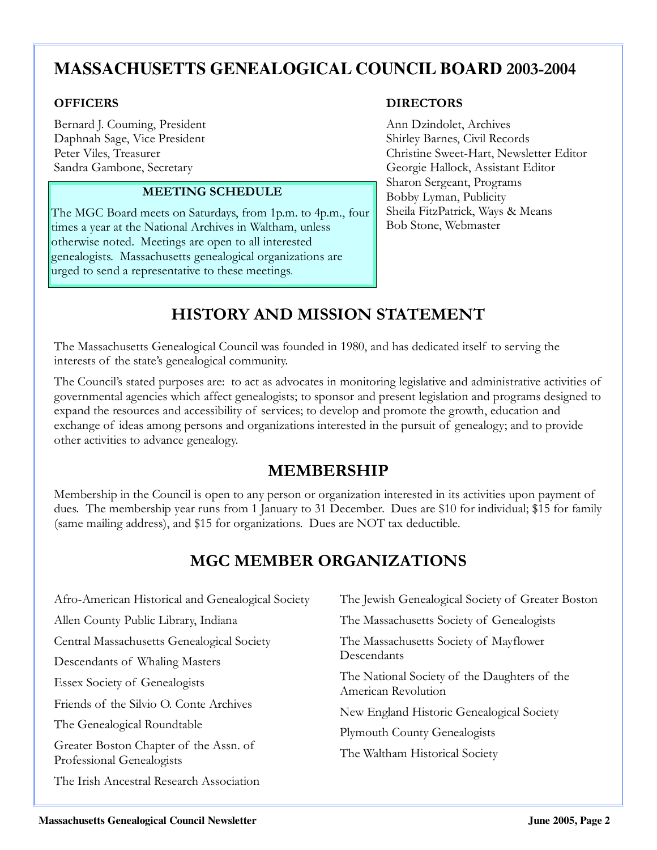# **MASSACHUSETTS GENEALOGICAL COUNCIL BOARD** 2003-2004

Bernard J. Couming, President Ann Dzindolet, Archives Daphnah Sage, Vice President Shirley Barnes, Civil Records

### MEETING SCHEDULE

The MGC Board meets on Saturdays, from 1p.m. to 4p.m., four times a year at the National Archives in Waltham, unless otherwise noted. Meetings are open to all interested genealogists. Massachusetts genealogical organizations are urged to send a representative to these meetings.

### OFFICERS DIRECTORS

Peter Viles, Treasurer Christine Sweet-Hart, Newsletter Editor Sandra Gambone, Secretary Georgie Hallock, Assistant Editor Sharon Sergeant, Programs Bobby Lyman, Publicity Sheila FitzPatrick, Ways & Means Bob Stone, Webmaster

# HISTORY AND MISSION STATEMENT

The Massachusetts Genealogical Council was founded in 1980, and has dedicated itself to serving the interests of the state's genealogical community.

The Council's stated purposes are: to act as advocates in monitoring legislative and administrative activities of governmental agencies which affect genealogists; to sponsor and present legislation and programs designed to expand the resources and accessibility of services; to develop and promote the growth, education and exchange of ideas among persons and organizations interested in the pursuit of genealogy; and to provide other activities to advance genealogy.

## MEMBERSHIP

Membership in the Council is open to any person or organization interested in its activities upon payment of dues. The membership year runs from 1 January to 31 December. Dues are \$10 for individual; \$15 for family (same mailing address), and \$15 for organizations. Dues are NOT tax deductible.

# MGC MEMBER ORGANIZATIONS

| Afro-American Historical and Genealogical Society                            | The Jewish Genealogical Society of Greater Boston                                                                                                       |  |  |
|------------------------------------------------------------------------------|---------------------------------------------------------------------------------------------------------------------------------------------------------|--|--|
| Allen County Public Library, Indiana                                         | The Massachusetts Society of Genealogists                                                                                                               |  |  |
| Central Massachusetts Genealogical Society<br>Descendants of Whaling Masters | The Massachusetts Society of Mayflower<br>Descendants                                                                                                   |  |  |
| <b>Essex Society of Genealogists</b>                                         | The National Society of the Daughters of the<br>American Revolution<br>New England Historic Genealogical Society<br><b>Plymouth County Genealogists</b> |  |  |
| Friends of the Silvio O. Conte Archives                                      |                                                                                                                                                         |  |  |
| The Genealogical Roundtable                                                  |                                                                                                                                                         |  |  |
| Greater Boston Chapter of the Assn. of<br>Professional Genealogists          | The Waltham Historical Society                                                                                                                          |  |  |
| The Irish Ancestral Research Association                                     |                                                                                                                                                         |  |  |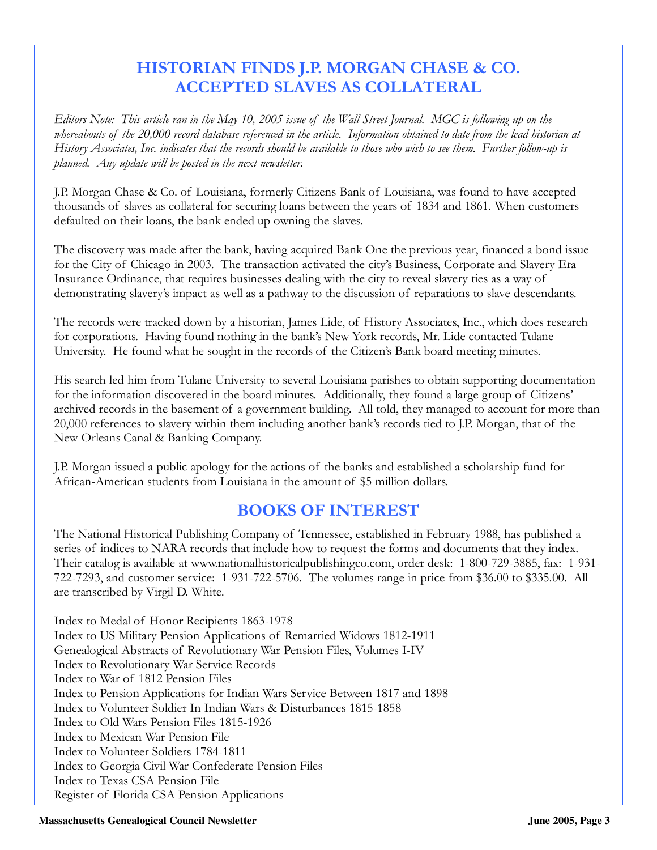# HISTORIAN FINDS J.P. MORGAN CHASE & CO. ACCEPTED SLAVES AS COLLATERAL

Editors Note: This article ran in the May 10, 2005 issue of the Wall Street Journal. MGC is following up on the whereabouts of the 20,000 record database referenced in the article. Information obtained to date from the lead historian at History Associates, Inc. indicates that the records should be available to those who wish to see them. Further follow-up is planned. Any update will be posted in the next newsletter.

J.P. Morgan Chase & Co. of Louisiana, formerly Citizens Bank of Louisiana, was found to have accepted thousands of slaves as collateral for securing loans between the years of 1834 and 1861. When customers defaulted on their loans, the bank ended up owning the slaves.

The discovery was made after the bank, having acquired Bank One the previous year, financed a bond issue for the City of Chicago in 2003. The transaction activated the city's Business, Corporate and Slavery Era Insurance Ordinance, that requires businesses dealing with the city to reveal slavery ties as a way of demonstrating slavery's impact as well as a pathway to the discussion of reparations to slave descendants.

The records were tracked down by a historian, James Lide, of History Associates, Inc., which does research for corporations. Having found nothing in the bank's New York records, Mr. Lide contacted Tulane University. He found what he sought in the records of the Citizen's Bank board meeting minutes.

His search led him from Tulane University to several Louisiana parishes to obtain supporting documentation for the information discovered in the board minutes. Additionally, they found a large group of Citizens' archived records in the basement of a government building. All told, they managed to account for more than 20,000 references to slavery within them including another bank's records tied to J.P. Morgan, that of the New Orleans Canal & Banking Company.

J.P. Morgan issued a public apology for the actions of the banks and established a scholarship fund for African-American students from Louisiana in the amount of \$5 million dollars.

# BOOKS OF INTEREST

The National Historical Publishing Company of Tennessee, established in February 1988, has published a series of indices to NARA records that include how to request the forms and documents that they index. Their catalog is available at www.nationalhistoricalpublishingco.com, order desk: 1-800-729-3885, fax: 1-931- 722-7293, and customer service: 1-931-722-5706. The volumes range in price from \$36.00 to \$335.00. All are transcribed by Virgil D. White.

Index to Medal of Honor Recipients 1863-1978 Index to US Military Pension Applications of Remarried Widows 1812-1911 Genealogical Abstracts of Revolutionary War Pension Files, Volumes I-IV Index to Revolutionary War Service Records Index to War of 1812 Pension Files Index to Pension Applications for Indian Wars Service Between 1817 and 1898 Index to Volunteer Soldier In Indian Wars & Disturbances 1815-1858 Index to Old Wars Pension Files 1815-1926 Index to Mexican War Pension File Index to Volunteer Soldiers 1784-1811 Index to Georgia Civil War Confederate Pension Files Index to Texas CSA Pension File Register of Florida CSA Pension Applications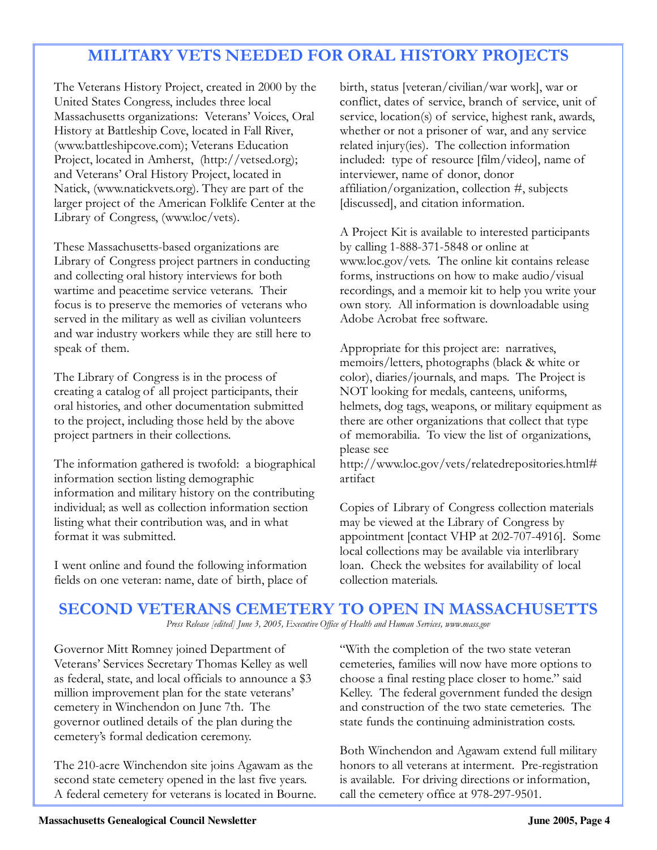# MILITARY VETS NEEDED FOR ORAL HISTORY PROJECTS

The Veterans History Project, created in 2000 by the United States Congress, includes three local Massachusetts organizations: Veterans' Voices, Oral History at Battleship Cove, located in Fall River, (www.battleshipcove.com); Veterans Education Project, located in Amherst, (http://vetsed.org); and Veterans' Oral History Project, located in Natick, (www.natickvets.org). They are part of the larger project of the American Folklife Center at the Library of Congress, (www.loc/vets).

These Massachusetts-based organizations are Library of Congress project partners in conducting and collecting oral history interviews for both wartime and peacetime service veterans. Their focus is to preserve the memories of veterans who served in the military as well as civilian volunteers and war industry workers while they are still here to speak of them.

The Library of Congress is in the process of creating a catalog of all project participants, their oral histories, and other documentation submitted to the project, including those held by the above project partners in their collections.

The information gathered is twofold: a biographical information section listing demographic information and military history on the contributing individual; as well as collection information section listing what their contribution was, and in what format it was submitted.

I went online and found the following information fields on one veteran: name, date of birth, place of birth, status [veteran/civilian/war work], war or conflict, dates of service, branch of service, unit of service, location(s) of service, highest rank, awards, whether or not a prisoner of war, and any service related injury(ies). The collection information included: type of resource [film/video], name of interviewer, name of donor, donor affiliation/organization, collection #, subjects [discussed], and citation information.

A Project Kit is available to interested participants by calling 1-888-371-5848 or online at www.loc.gov/vets. The online kit contains release forms, instructions on how to make audio/visual recordings, and a memoir kit to help you write your own story. All information is downloadable using Adobe Acrobat free software.

Appropriate for this project are: narratives, memoirs/letters, photographs (black & white or color), diaries/journals, and maps. The Project is NOT looking for medals, canteens, uniforms, helmets, dog tags, weapons, or military equipment as there are other organizations that collect that type of memorabilia. To view the list of organizations, please see

http://www.loc.gov/vets/relatedrepositories.html# artifact

Copies of Library of Congress collection materials may be viewed at the Library of Congress by appointment [contact VHP at 202-707-4916]. Some local collections may be available via interlibrary loan. Check the websites for availability of local collection materials.

# SECOND VETERANS CEMETERY TO OPEN IN MASSACHUSETTS

Press Release [edited] June 3, 2005, Executive Office of Health and Human Services, www.mass.gov

Governor Mitt Romney joined Department of Veterans' Services Secretary Thomas Kelley as well as federal, state, and local officials to announce a \$3 million improvement plan for the state veterans' cemetery in Winchendon on June 7th. The governor outlined details of the plan during the cemetery's formal dedication ceremony.

The 210-acre Winchendon site joins Agawam as the second state cemetery opened in the last five years. A federal cemetery for veterans is located in Bourne.

"With the completion of the two state veteran cemeteries, families will now have more options to choose a final resting place closer to home." said Kelley. The federal government funded the design and construction of the two state cemeteries. The state funds the continuing administration costs.

Both Winchendon and Agawam extend full military honors to all veterans at interment. Pre-registration is available. For driving directions or information, call the cemetery office at 978-297-9501.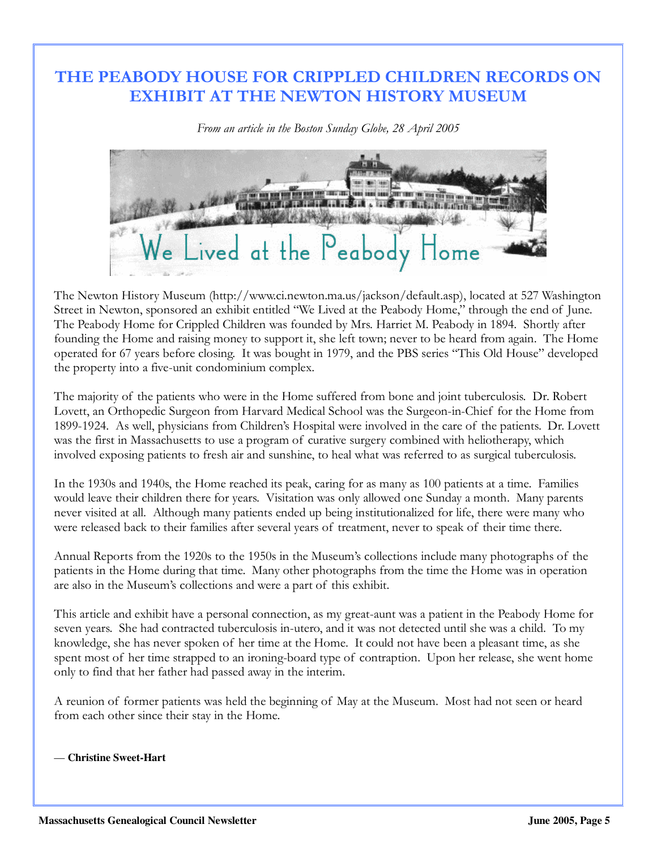# THE PEABODY HOUSE FOR CRIPPLED CHILDREN RECORDS ON EXHIBIT AT THE NEWTON HISTORY MUSEUM

From an article in the Boston Sunday Globe, 28 April 2005



The Newton History Museum (http://www.ci.newton.ma.us/jackson/default.asp), located at 527 Washington Street in Newton, sponsored an exhibit entitled "We Lived at the Peabody Home," through the end of June. The Peabody Home for Crippled Children was founded by Mrs. Harriet M. Peabody in 1894. Shortly after founding the Home and raising money to support it, she left town; never to be heard from again. The Home operated for 67 years before closing. It was bought in 1979, and the PBS series "This Old House" developed the property into a five-unit condominium complex.

The majority of the patients who were in the Home suffered from bone and joint tuberculosis. Dr. Robert Lovett, an Orthopedic Surgeon from Harvard Medical School was the Surgeon-in-Chief for the Home from 1899-1924. As well, physicians from Children's Hospital were involved in the care of the patients. Dr. Lovett was the first in Massachusetts to use a program of curative surgery combined with heliotherapy, which involved exposing patients to fresh air and sunshine, to heal what was referred to as surgical tuberculosis.

In the 1930s and 1940s, the Home reached its peak, caring for as many as 100 patients at a time. Families would leave their children there for years. Visitation was only allowed one Sunday a month. Many parents never visited at all. Although many patients ended up being institutionalized for life, there were many who were released back to their families after several years of treatment, never to speak of their time there.

Annual Reports from the 1920s to the 1950s in the Museum's collections include many photographs of the patients in the Home during that time. Many other photographs from the time the Home was in operation are also in the Museum's collections and were a part of this exhibit.

This article and exhibit have a personal connection, as my great-aunt was a patient in the Peabody Home for seven years. She had contracted tuberculosis in-utero, and it was not detected until she was a child. To my knowledge, she has never spoken of her time at the Home. It could not have been a pleasant time, as she spent most of her time strapped to an ironing-board type of contraption. Upon her release, she went home only to find that her father had passed away in the interim.

A reunion of former patients was held the beginning of May at the Museum. Most had not seen or heard from each other since their stay in the Home.

— **Christine Sweet-Hart**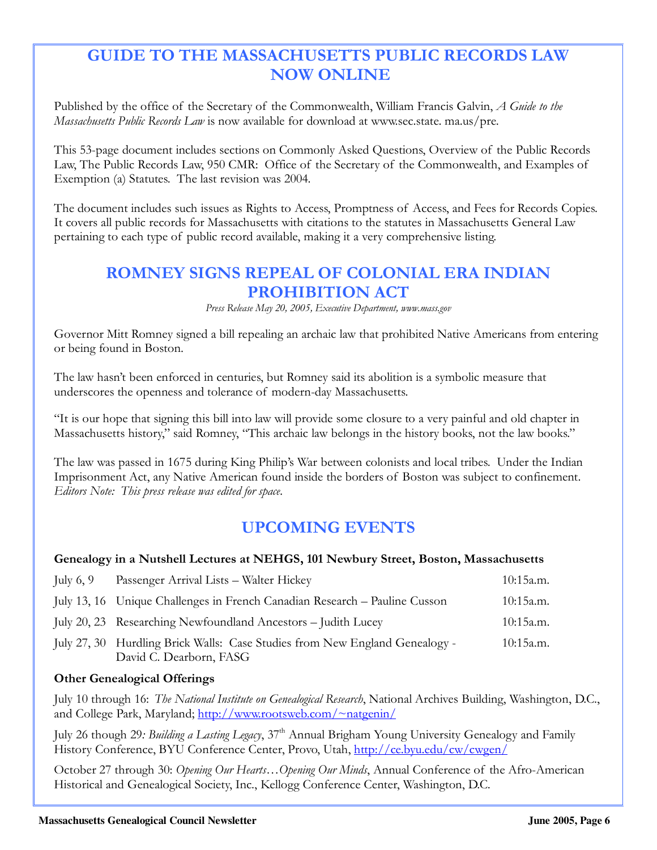# GUIDE TO THE MASSACHUSETTS PUBLIC RECORDS LAW NOW ONLINE

Published by the office of the Secretary of the Commonwealth, William Francis Galvin, A Guide to the Massachusetts Public Records Law is now available for download at www.sec.state. ma.us/pre.

This 53-page document includes sections on Commonly Asked Questions, Overview of the Public Records Law, The Public Records Law, 950 CMR: Office of the Secretary of the Commonwealth, and Examples of Exemption (a) Statutes. The last revision was 2004.

The document includes such issues as Rights to Access, Promptness of Access, and Fees for Records Copies. It covers all public records for Massachusetts with citations to the statutes in Massachusetts General Law pertaining to each type of public record available, making it a very comprehensive listing.

# ROMNEY SIGNS REPEAL OF COLONIAL ERA INDIAN PROHIBITION ACT

Press Release May 20, 2005, Executive Department, www.mass.gov

Governor Mitt Romney signed a bill repealing an archaic law that prohibited Native Americans from entering or being found in Boston.

The law hasn't been enforced in centuries, but Romney said its abolition is a symbolic measure that underscores the openness and tolerance of modern-day Massachusetts.

"It is our hope that signing this bill into law will provide some closure to a very painful and old chapter in Massachusetts history," said Romney, "This archaic law belongs in the history books, not the law books."

The law was passed in 1675 during King Philip's War between colonists and local tribes. Under the Indian Imprisonment Act, any Native American found inside the borders of Boston was subject to confinement. Editors Note: This press release was edited for space.

# UPCOMING EVENTS

### Genealogy in a Nutshell Lectures at NEHGS, 101 Newbury Street, Boston, Massachusetts

| July $6, 9$ | Passenger Arrival Lists - Walter Hickey                                                                | 10:15a.m. |
|-------------|--------------------------------------------------------------------------------------------------------|-----------|
|             | July 13, 16 Unique Challenges in French Canadian Research – Pauline Cusson                             | 10:15a.m. |
|             | July 20, 23 Researching Newfoundland Ancestors – Judith Lucey                                          | 10:15a.m. |
|             | July 27, 30 Hurdling Brick Walls: Case Studies from New England Genealogy -<br>David C. Dearborn, FASG | 10:15a.m. |

### Other Genealogical Offerings

July 10 through 16: The National Institute on Genealogical Research, National Archives Building, Washington, D.C., and College Park, Maryland; http://www.rootsweb.com/~natgenin/

July 26 though 29: Building a Lasting Legacy,  $37<sup>th</sup>$  Annual Brigham Young University Genealogy and Family History Conference, BYU Conference Center, Provo, Utah, http://ce.byu.edu/cw/cwgen/

October 27 through 30: Opening Our Hearts…Opening Our Minds, Annual Conference of the Afro-American Historical and Genealogical Society, Inc., Kellogg Conference Center, Washington, D.C.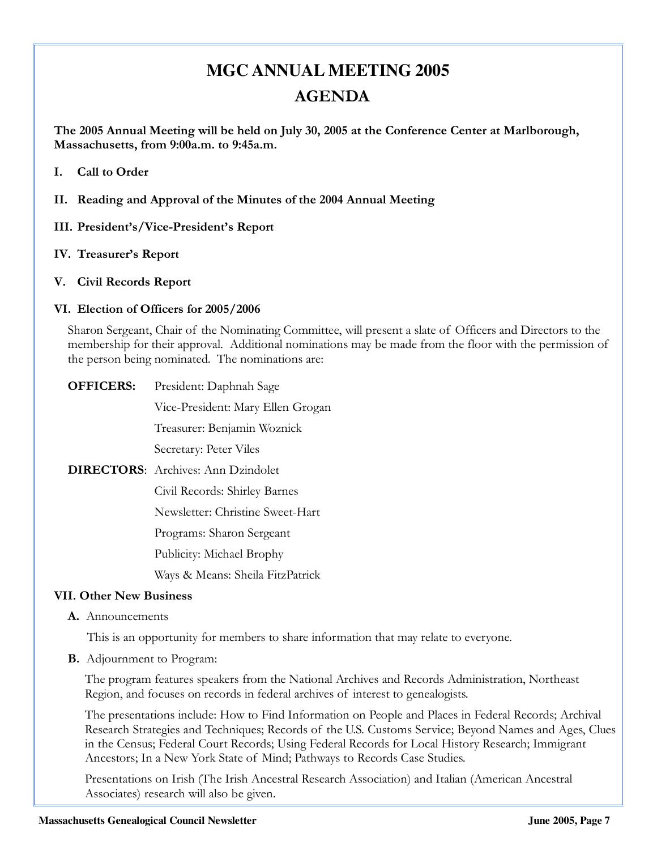# **MGC ANNUAL MEETING 2005**  AGENDA

The 2005 Annual Meeting will be held on July 30, 2005 at the Conference Center at Marlborough, Massachusetts, from 9:00a.m. to 9:45a.m.

- I. Call to Order
- II. Reading and Approval of the Minutes of the 2004 Annual Meeting
- III. President's/Vice-President's Report
- IV. Treasurer's Report
- V. Civil Records Report

### VI. Election of Officers for 2005/2006

Sharon Sergeant, Chair of the Nominating Committee, will present a slate of Officers and Directors to the membership for their approval. Additional nominations may be made from the floor with the permission of the person being nominated. The nominations are:

OFFICERS: President: Daphnah Sage

Vice-President: Mary Ellen Grogan

Treasurer: Benjamin Woznick

Secretary: Peter Viles

DIRECTORS: Archives: Ann Dzindolet

Civil Records: Shirley Barnes

Newsletter: Christine Sweet-Hart

Programs: Sharon Sergeant

Publicity: Michael Brophy

Ways & Means: Sheila FitzPatrick

### VII. Other New Business

A. Announcements

This is an opportunity for members to share information that may relate to everyone.

B. Adjournment to Program:

The program features speakers from the National Archives and Records Administration, Northeast Region, and focuses on records in federal archives of interest to genealogists.

The presentations include: How to Find Information on People and Places in Federal Records; Archival Research Strategies and Techniques; Records of the U.S. Customs Service; Beyond Names and Ages, Clues in the Census; Federal Court Records; Using Federal Records for Local History Research; Immigrant Ancestors; In a New York State of Mind; Pathways to Records Case Studies.

Presentations on Irish (The Irish Ancestral Research Association) and Italian (American Ancestral Associates) research will also be given.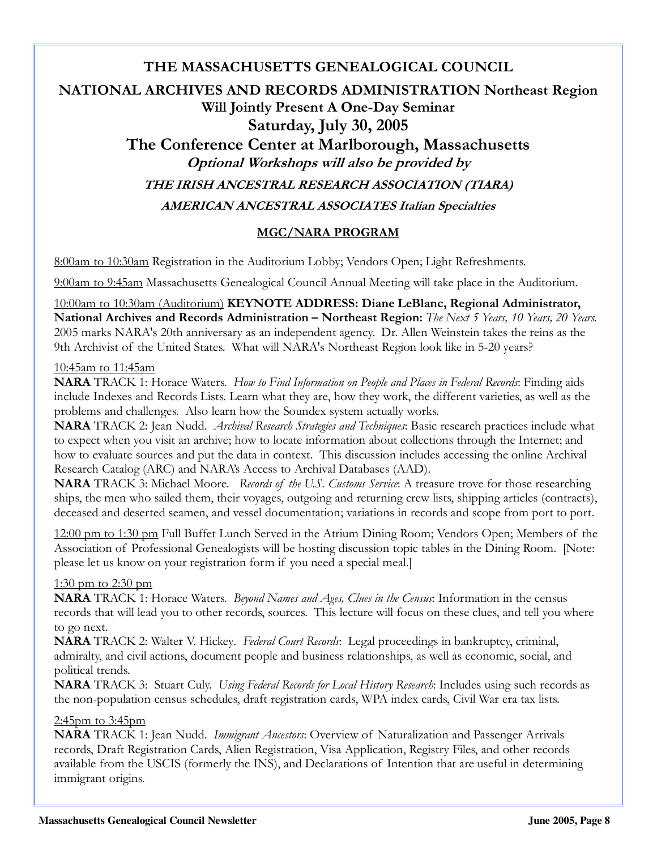# THE MASSACHUSETTS GENEALOGICAL COUNCIL NATIONAL ARCHIVES AND RECORDS ADMINISTRATION Northeast Region Will Jointly Present A One-Day Seminar Saturday, July 30, 2005 The Conference Center at Marlborough, Massachusetts Optional Workshops will also be provided by THE IRISH ANCESTRAL RESEARCH ASSOCIATION (TIARA) AMERICAN ANCESTRAL ASSOCIATES Italian Specialties

### MGC/NARA PROGRAM

8:00am to 10:30am Registration in the Auditorium Lobby; Vendors Open; Light Refreshments.

9:00am to 9:45am Massachusetts Genealogical Council Annual Meeting will take place in the Auditorium.

10:00am to 10:30am (Auditorium) KEYNOTE ADDRESS: Diane LeBlanc, Regional Administrator, National Archives and Records Administration – Northeast Region: The Next 5 Years, 10 Years, 20 Years. 2005 marks NARA's 20th anniversary as an independent agency. Dr. Allen Weinstein takes the reins as the 9th Archivist of the United States. What will NARA's Northeast Region look like in 5-20 years?

#### 10:45am to 11:45am

**NARA** TRACK 1: Horace Waters. How to Find Information on People and Places in Federal Records: Finding aids include Indexes and Records Lists. Learn what they are, how they work, the different varieties, as well as the problems and challenges. Also learn how the Soundex system actually works.

NARA TRACK 2: Jean Nudd. *Archival Research Strategies and Techniques*: Basic research practices include what to expect when you visit an archive; how to locate information about collections through the Internet; and how to evaluate sources and put the data in context. This discussion includes accessing the online Archival Research Catalog (ARC) and NARA's Access to Archival Databases (AAD).

NARA TRACK 3: Michael Moore. Records of the U.S. Customs Service: A treasure trove for those researching ships, the men who sailed them, their voyages, outgoing and returning crew lists, shipping articles (contracts), deceased and deserted seamen, and vessel documentation; variations in records and scope from port to port.

12:00 pm to 1:30 pm Full Buffet Lunch Served in the Atrium Dining Room; Vendors Open; Members of the Association of Professional Genealogists will be hosting discussion topic tables in the Dining Room. [Note: please let us know on your registration form if you need a special meal.]

### 1:30 pm to 2:30 pm

**NARA** TRACK 1: Horace Waters. *Beyond Names and Ages, Clues in the Census*: Information in the census records that will lead you to other records, sources. This lecture will focus on these clues, and tell you where to go next.

NARA TRACK 2: Walter V. Hickey. Federal Court Records: Legal proceedings in bankruptcy, criminal, admiralty, and civil actions, document people and business relationships, as well as economic, social, and political trends.

NARA TRACK 3: Stuart Culy. Using Federal Records for Local History Research: Includes using such records as the non-population census schedules, draft registration cards, WPA index cards, Civil War era tax lists.

### 2:45pm to 3:45pm

NARA TRACK 1: Jean Nudd. Immigrant Ancestors: Overview of Naturalization and Passenger Arrivals records, Draft Registration Cards, Alien Registration, Visa Application, Registry Files, and other records available from the USCIS (formerly the INS), and Declarations of Intention that are useful in determining immigrant origins.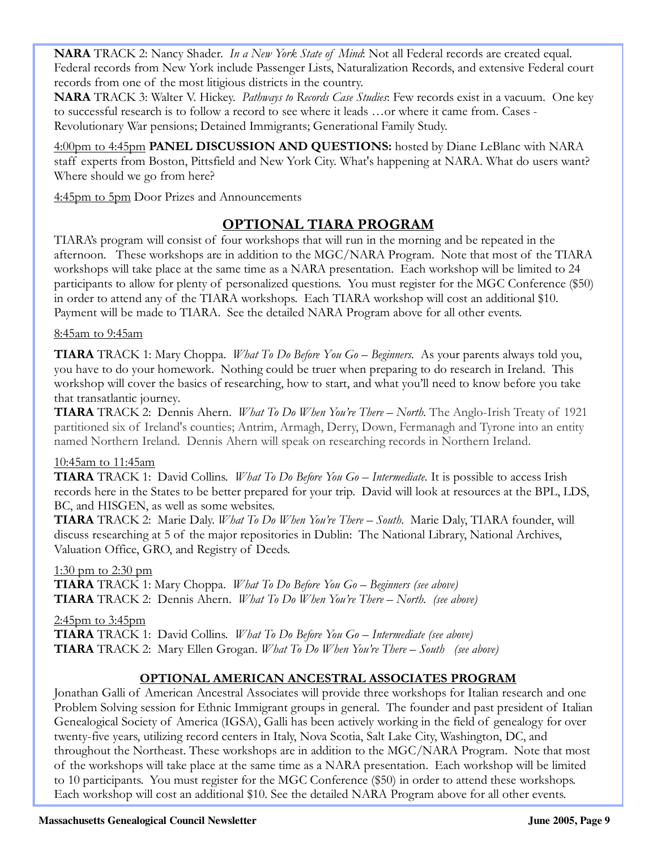NARA TRACK 2: Nancy Shader. In a New York State of Mind: Not all Federal records are created equal. Federal records from New York include Passenger Lists, Naturalization Records, and extensive Federal court records from one of the most litigious districts in the country.

NARA TRACK 3: Walter V. Hickey. Pathways to Records Case Studies: Few records exist in a vacuum. One key to successful research is to follow a record to see where it leads …or where it came from. Cases - Revolutionary War pensions; Detained Immigrants; Generational Family Study.

4:00pm to 4:45pm PANEL DISCUSSION AND QUESTIONS: hosted by Diane LeBlanc with NARA staff experts from Boston, Pittsfield and New York City. What's happening at NARA. What do users want? Where should we go from here?

4:45pm to 5pm Door Prizes and Announcements

### OPTIONAL TIARA PROGRAM

TIARA's program will consist of four workshops that will run in the morning and be repeated in the afternoon. These workshops are in addition to the MGC/NARA Program. Note that most of the TIARA workshops will take place at the same time as a NARA presentation. Each workshop will be limited to 24 participants to allow for plenty of personalized questions. You must register for the MGC Conference (\$50) in order to attend any of the TIARA workshops. Each TIARA workshop will cost an additional \$10. Payment will be made to TIARA. See the detailed NARA Program above for all other events.

### 8:45am to 9:45am

**TIARA** TRACK 1: Mary Choppa. What To Do Before You  $Go - Begimers$ . As your parents always told you, you have to do your homework. Nothing could be truer when preparing to do research in Ireland. This workshop will cover the basics of researching, how to start, and what you'll need to know before you take that transatlantic journey.

**TIARA** TRACK 2: Dennis Ahern. *What To Do When You're There – North*. The Anglo-Irish Treaty of 1921 partitioned six of Ireland's counties; Antrim, Armagh, Derry, Down, Fermanagh and Tyrone into an entity named Northern Ireland. Dennis Ahern will speak on researching records in Northern Ireland.

### 10:45am to 11:45am

**TIARA** TRACK 1: David Collins. What To Do Before You Go – Intermediate. It is possible to access Irish records here in the States to be better prepared for your trip. David will look at resources at the BPL, LDS, BC, and HISGEN, as well as some websites.

**TIARA** TRACK 2: Marie Daly. What To Do When You're There – South. Marie Daly, TIARA founder, will discuss researching at 5 of the major repositories in Dublin: The National Library, National Archives, Valuation Office, GRO, and Registry of Deeds.

1:30 pm to 2:30 pm TIARA TRACK 1: Mary Choppa. What To Do Before You Go – Beginners (see above) **TIARA** TRACK 2: Dennis Ahern. What To Do When You're There – North. (see above)

2:45pm to 3:45pm

TIARA TRACK 1: David Collins. What To Do Before You Go – Intermediate (see above) **TIARA** TRACK 2: Mary Ellen Grogan. What To Do When You're There – South (see above)

### OPTIONAL AMERICAN ANCESTRAL ASSOCIATES PROGRAM

Jonathan Galli of American Ancestral Associates will provide three workshops for Italian research and one Problem Solving session for Ethnic Immigrant groups in general. The founder and past president of Italian Genealogical Society of America (IGSA), Galli has been actively working in the field of genealogy for over twenty-five years, utilizing record centers in Italy, Nova Scotia, Salt Lake City, Washington, DC, and throughout the Northeast. These workshops are in addition to the MGC/NARA Program. Note that most of the workshops will take place at the same time as a NARA presentation. Each workshop will be limited to 10 participants. You must register for the MGC Conference (\$50) in order to attend these workshops. Each workshop will cost an additional \$10. See the detailed NARA Program above for all other events.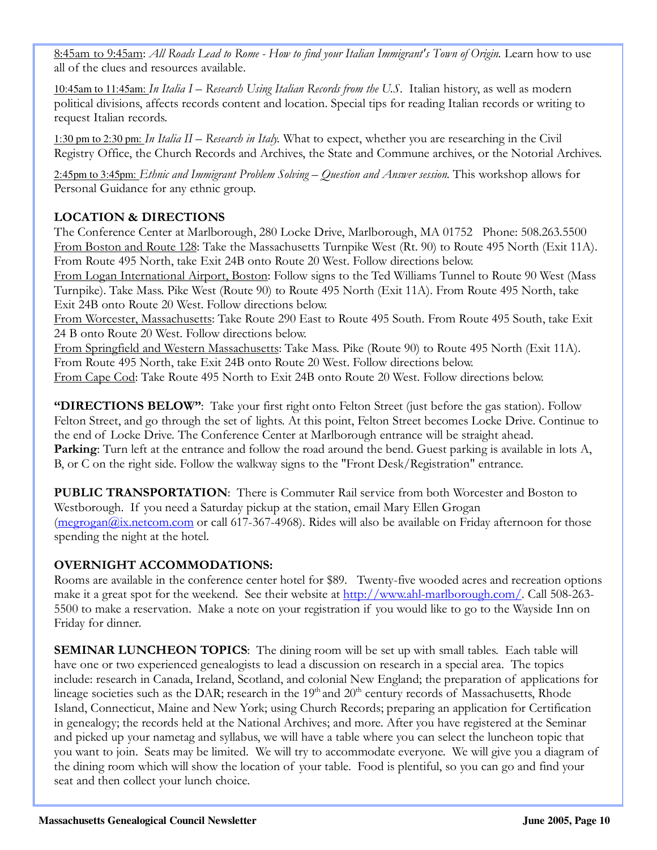8:45am to 9:45am: All Roads Lead to Rome - How to find your Italian Immigrant's Town of Origin. Learn how to use all of the clues and resources available.

10:45am to 11:45am: In Italia I – Research Using Italian Records from the U.S. Italian history, as well as modern political divisions, affects records content and location. Special tips for reading Italian records or writing to request Italian records.

1:30 pm to 2:30 pm: In Italia II – Research in Italy. What to expect, whether you are researching in the Civil Registry Office, the Church Records and Archives, the State and Commune archives, or the Notorial Archives.

2:45pm to 3:45pm: Ethnic and Immigrant Problem Solving – Question and Answer session. This workshop allows for Personal Guidance for any ethnic group.

### LOCATION & DIRECTIONS

The Conference Center at Marlborough, 280 Locke Drive, Marlborough, MA 01752 Phone: 508.263.5500 From Boston and Route 128: Take the Massachusetts Turnpike West (Rt. 90) to Route 495 North (Exit 11A). From Route 495 North, take Exit 24B onto Route 20 West. Follow directions below.

From Logan International Airport, Boston: Follow signs to the Ted Williams Tunnel to Route 90 West (Mass Turnpike). Take Mass. Pike West (Route 90) to Route 495 North (Exit 11A). From Route 495 North, take Exit 24B onto Route 20 West. Follow directions below.

From Worcester, Massachusetts: Take Route 290 East to Route 495 South. From Route 495 South, take Exit 24 B onto Route 20 West. Follow directions below.

From Springfield and Western Massachusetts: Take Mass. Pike (Route 90) to Route 495 North (Exit 11A). From Route 495 North, take Exit 24B onto Route 20 West. Follow directions below. From Cape Cod: Take Route 495 North to Exit 24B onto Route 20 West. Follow directions below.

"DIRECTIONS BELOW": Take your first right onto Felton Street (just before the gas station). Follow Felton Street, and go through the set of lights. At this point, Felton Street becomes Locke Drive. Continue to the end of Locke Drive. The Conference Center at Marlborough entrance will be straight ahead. **Parking:** Turn left at the entrance and follow the road around the bend. Guest parking is available in lots A, B, or C on the right side. Follow the walkway signs to the "Front Desk/Registration" entrance.

PUBLIC TRANSPORTATION: There is Commuter Rail service from both Worcester and Boston to Westborough. If you need a Saturday pickup at the station, email Mary Ellen Grogan (megrogan@ix.netcom.com or call 617-367-4968). Rides will also be available on Friday afternoon for those spending the night at the hotel.

### OVERNIGHT ACCOMMODATIONS:

Rooms are available in the conference center hotel for \$89. Twenty-five wooded acres and recreation options make it a great spot for the weekend. See their website at http://www.ahl-marlborough.com/. Call 508-263- 5500 to make a reservation. Make a note on your registration if you would like to go to the Wayside Inn on Friday for dinner.

**SEMINAR LUNCHEON TOPICS:** The dining room will be set up with small tables. Each table will have one or two experienced genealogists to lead a discussion on research in a special area. The topics include: research in Canada, Ireland, Scotland, and colonial New England; the preparation of applications for lineage societies such as the DAR; research in the  $19<sup>th</sup>$  and  $20<sup>th</sup>$  century records of Massachusetts, Rhode Island, Connecticut, Maine and New York; using Church Records; preparing an application for Certification in genealogy; the records held at the National Archives; and more. After you have registered at the Seminar and picked up your nametag and syllabus, we will have a table where you can select the luncheon topic that you want to join. Seats may be limited. We will try to accommodate everyone. We will give you a diagram of the dining room which will show the location of your table. Food is plentiful, so you can go and find your seat and then collect your lunch choice.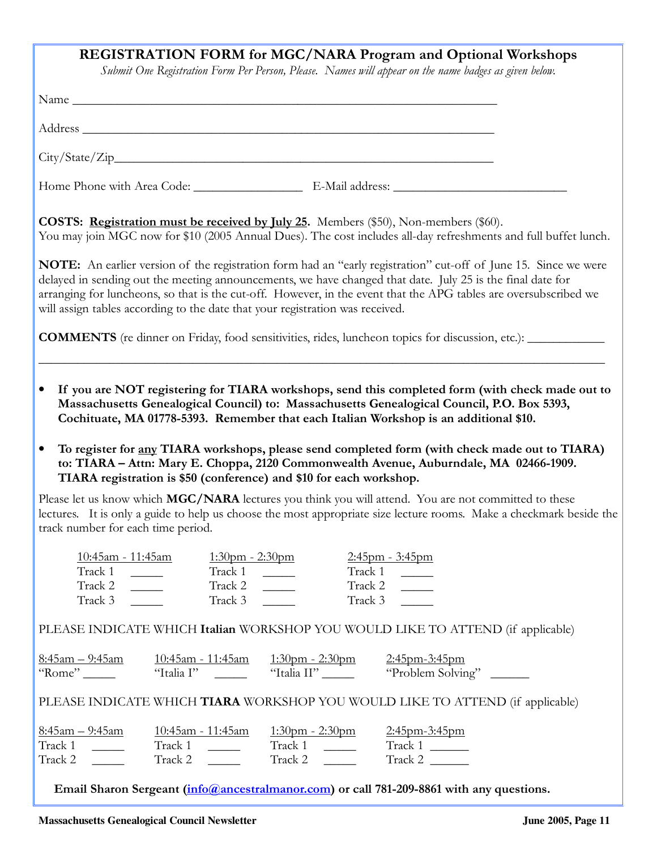### REGISTRATION FORM for MGC/NARA Program and Optional Workshops

Submit One Registration Form Per Person, Please. Names will appear on the name badges as given below.

|                                                                                                                     |                                                                               |                                                                                | <b>COSTS:</b> Registration must be received by July 25. Members (\$50), Non-members (\$60).<br>You may join MGC now for \$10 (2005 Annual Dues). The cost includes all-day refreshments and full buffet lunch.                                                                                                                                                                                                                                                                                                                                                                                                                                                                                                     |  |  |  |
|---------------------------------------------------------------------------------------------------------------------|-------------------------------------------------------------------------------|--------------------------------------------------------------------------------|--------------------------------------------------------------------------------------------------------------------------------------------------------------------------------------------------------------------------------------------------------------------------------------------------------------------------------------------------------------------------------------------------------------------------------------------------------------------------------------------------------------------------------------------------------------------------------------------------------------------------------------------------------------------------------------------------------------------|--|--|--|
|                                                                                                                     | will assign tables according to the date that your registration was received. |                                                                                | <b>NOTE:</b> An earlier version of the registration form had an "early registration" cut-off of June 15. Since we were<br>delayed in sending out the meeting announcements, we have changed that date. July 25 is the final date for<br>arranging for luncheons, so that is the cut-off. However, in the event that the APG tables are oversubscribed we                                                                                                                                                                                                                                                                                                                                                           |  |  |  |
| <b>COMMENTS</b> (re dinner on Friday, food sensitivities, rides, luncheon topics for discussion, etc.): ___________ |                                                                               |                                                                                |                                                                                                                                                                                                                                                                                                                                                                                                                                                                                                                                                                                                                                                                                                                    |  |  |  |
| $\bullet$<br>$\bullet$<br>track number for each time period.                                                        | TIARA registration is \$50 (conference) and \$10 for each workshop.           |                                                                                | If you are NOT registering for TIARA workshops, send this completed form (with check made out to<br>Massachusetts Genealogical Council) to: Massachusetts Genealogical Council, P.O. Box 5393,<br>Cochituate, MA 01778-5393. Remember that each Italian Workshop is an additional \$10.<br>To register for any TIARA workshops, please send completed form (with check made out to TIARA)<br>to: TIARA - Attn: Mary E. Choppa, 2120 Commonwealth Avenue, Auburndale, MA 02466-1909.<br>Please let us know which MGC/NARA lectures you think you will attend. You are not committed to these<br>lectures. It is only a guide to help us choose the most appropriate size lecture rooms. Make a checkmark beside the |  |  |  |
| Track 1<br>Track 2<br>Track 3                                                                                       | Track 1<br>Track 2<br>Track 3                                                 | $\mathcal{L}^{\text{max}}$ and $\mathcal{L}^{\text{max}}$<br>Track 3           | Track 1<br>$\frac{1}{2}$ and $\frac{1}{2}$<br>Track 2                                                                                                                                                                                                                                                                                                                                                                                                                                                                                                                                                                                                                                                              |  |  |  |
|                                                                                                                     |                                                                               |                                                                                | PLEASE INDICATE WHICH Italian WORKSHOP YOU WOULD LIKE TO ATTEND (if applicable)                                                                                                                                                                                                                                                                                                                                                                                                                                                                                                                                                                                                                                    |  |  |  |
|                                                                                                                     |                                                                               |                                                                                | PLEASE INDICATE WHICH TIARA WORKSHOP YOU WOULD LIKE TO ATTEND (if applicable)                                                                                                                                                                                                                                                                                                                                                                                                                                                                                                                                                                                                                                      |  |  |  |
| <u>8:45am – 9:45am</u><br>$\text{Track } 2 \quad \underline{\qquad}$                                                | <u> 10:45am - 11:45am</u>                                                     | $1:30 \text{pm} - 2:30 \text{pm}$ $2:45 \text{pm} - 3:45 \text{pm}$<br>Track 2 | Track 2                                                                                                                                                                                                                                                                                                                                                                                                                                                                                                                                                                                                                                                                                                            |  |  |  |
|                                                                                                                     |                                                                               |                                                                                | Email Sharon Sergeant (info@ancestralmanor.com) or call 781-209-8861 with any questions.                                                                                                                                                                                                                                                                                                                                                                                                                                                                                                                                                                                                                           |  |  |  |